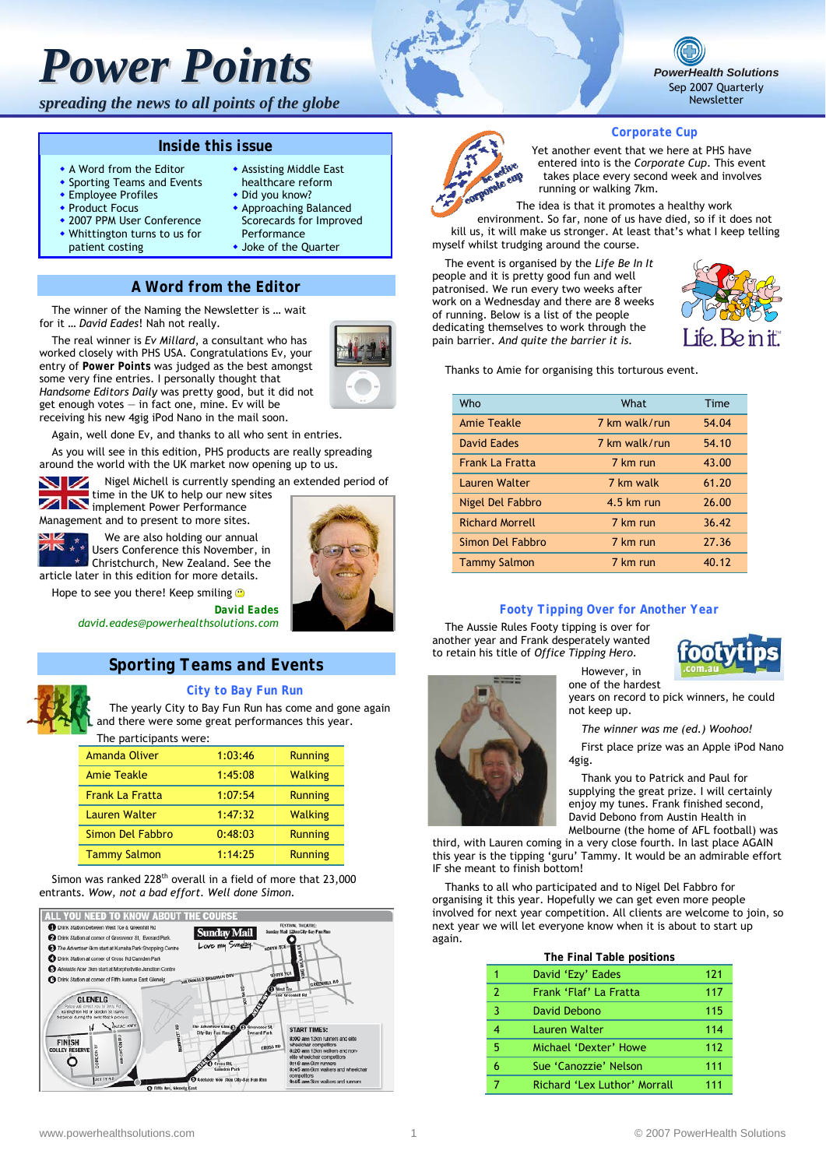*spreading the news to all points of the globe*

#### *Inside this issue*

- A Word from the Editor
- **\*** Sporting Teams and Events **Employee Profiles**
- ◆ Product Focus
- 2007 PPM User Conference
- Whittington turns to us for
- patient costing
- Did you know? Approaching Balanced Scorecards for Improved

 Assisting Middle East healthcare reform

Performance Joke of the Quarter

#### *A Word from the Editor*

The winner of the Naming the Newsletter is … wait for it … *David Eades*! Nah not really.

The real winner is *Ev Millard*, a consultant who has worked closely with PHS USA. Congratulations Ev, your entry of *Power Points* was judged as the best amongst some very fine entries. I personally thought that *Handsome Editors Daily* was pretty good, but it did not get enough votes  $-$  in fact one, mine. Ev will be receiving his new 4gig iPod Nano in the mail soon.



Again, well done Ev, and thanks to all who sent in entries.

As you will see in this edition, PHS products are really spreading around the world with the UK market now opening up to us.

Nigel Michell is currently spending an extended period of

time in the UK to help our new sites **IN** time in the only contained the implement Power Performance

Management and to present to more sites.<br>Next  $\mathbb{Z}$  We are also holding our annu We are also holding our annual

Users Conference this November, in Christchurch, New Zealand. See the

article later in this edition for more details.

Hope to see you there! Keep smiling

*David Eades david.eades@powerhealthsolutions.com* 

# *Sporting Teams and Events*



*City to Bay Fun Run* 

The yearly City to Bay Fun Run has come and gone again and there were some great performances this year.

The participants were:

| <b>Amanda Oliver</b>   | 1:03:46 | <b>Running</b> |
|------------------------|---------|----------------|
| <b>Amie Teakle</b>     | 1:45:08 | <b>Walking</b> |
| <b>Frank La Fratta</b> | 1:07:54 | <b>Running</b> |
| <b>Lauren Walter</b>   | 1:47:32 | <b>Walking</b> |
| Simon Del Fabbro       | 0:48:03 | <b>Running</b> |
| <b>Tammy Salmon</b>    | 1:14:25 | <b>Running</b> |

Simon was ranked 228<sup>th</sup> overall in a field of more that 23,000 entrants. *Wow, not a bad effort. Well done Simon.*







#### *Corporate Cup*

Yet another event that we here at PHS have entered into is the *Corporate Cup*. This event takes place every second week and involves running or walking 7km.

The idea is that it promotes a healthy work

environment. So far, none of us have died, so if it does not kill us, it will make us stronger. At least that's what I keep telling myself whilst trudging around the course.

The event is organised by the *Life Be In It* people and it is pretty good fun and well patronised. We run every two weeks after work on a Wednesday and there are 8 weeks of running. Below is a list of the people dedicating themselves to work through the pain barrier. *And quite the barrier it is.* 



Thanks to Amie for organising this torturous event.

| Who                    | What          | Time  |
|------------------------|---------------|-------|
| <b>Amie Teakle</b>     | 7 km walk/run | 54.04 |
| David Eades            | 7 km walk/run | 54.10 |
| <b>Frank La Fratta</b> | 7 km run      | 43.00 |
| Lauren Walter          | 7 km walk     | 61.20 |
| Nigel Del Fabbro       | $4.5$ km run  | 26.00 |
| <b>Richard Morrell</b> | 7 km run      | 36.42 |
| Simon Del Fabbro       | 7 km run      | 27.36 |
| <b>Tammy Salmon</b>    | 7 km run      | 40.12 |

#### *Footy Tipping Over for Another Year*

The Aussie Rules Footy tipping is over for another year and Frank desperately wanted to retain his title of *Office Tipping Hero*.



However, in one of the hardest years on record to pick winners, he could not keep up. *The winner was me (ed.) Woohoo!*  First place prize was an Apple iPod Nano 4gig.

Thank you to Patrick and Paul for supplying the great prize. I will certainly enjoy my tunes. Frank finished second, David Debono from Austin Health in Melbourne (the home of AFL football) was

third, with Lauren coming in a very close fourth. In last place AGAIN this year is the tipping 'guru' Tammy. It would be an admirable effort IF she meant to finish bottom!

Thanks to all who participated and to Nigel Del Fabbro for organising it this year. Hopefully we can get even more people involved for next year competition. All clients are welcome to join, so next year we will let everyone know when it is about to start up again.

|                | The Final Table positions    |     |
|----------------|------------------------------|-----|
| 1              | David 'Ezy' Eades            | 121 |
| $\overline{2}$ | Frank 'Flaf' La Fratta       | 117 |
| 3              | David Debono                 | 115 |
| 4              | Lauren Walter                | 114 |
| 5              | Michael 'Dexter' Howe        | 112 |
| 6              | Sue 'Canozzie' Nelson        | 111 |
|                | Richard 'Lex Luthor' Morrall | 111 |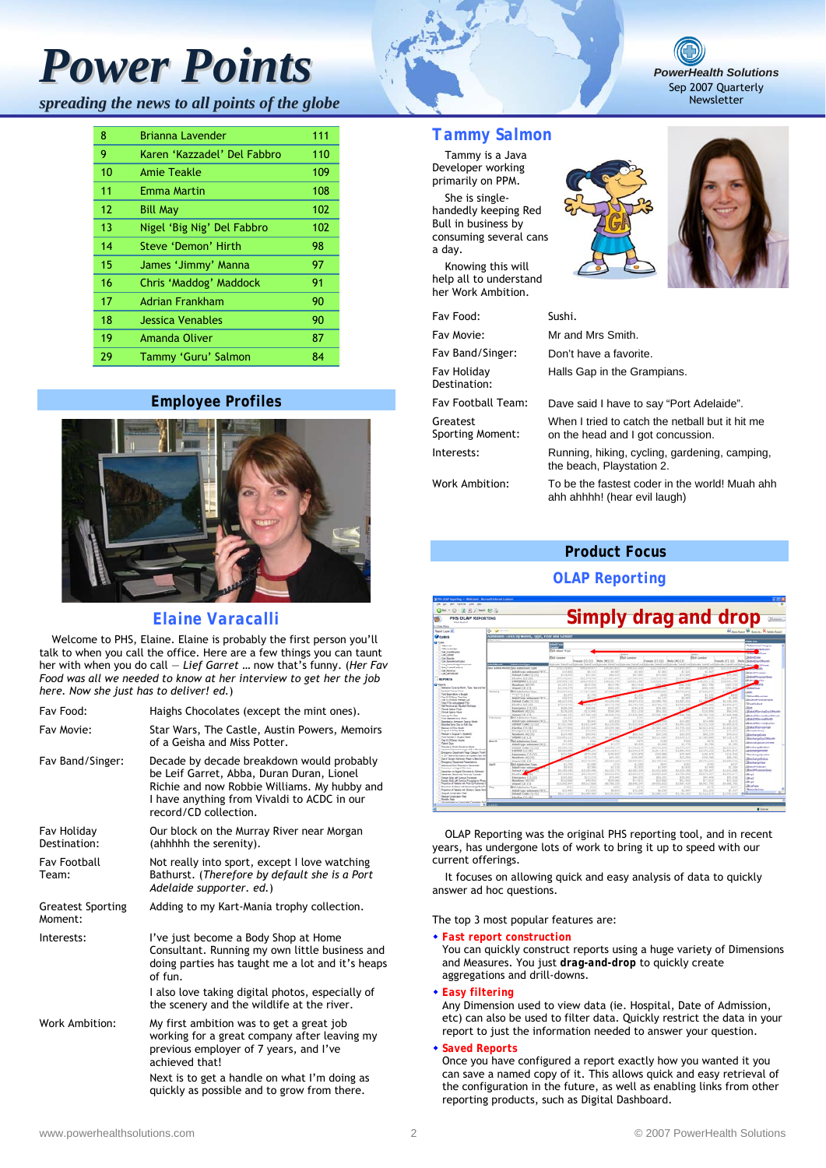*spreading the news to all points of the globe*

| 8  | <b>Brianna Lavender</b>     | 111 |
|----|-----------------------------|-----|
| 9  | Karen 'Kazzadel' Del Fabbro | 110 |
| 10 | Amie Teakle                 | 109 |
| 11 | Emma Martin                 | 108 |
| 12 | <b>Bill May</b>             | 102 |
| 13 | Nigel 'Big Nig' Del Fabbro  | 102 |
| 14 | Steve 'Demon' Hirth         | 98  |
| 15 | James 'Jimmy' Manna         | 97  |
| 16 | Chris 'Maddog' Maddock      | 91  |
| 17 | <b>Adrian Frankham</b>      | 90  |
| 18 | Jessica Venables            | 90  |
| 19 | Amanda Oliver               | 87  |
| 29 | Tammy 'Guru' Salmon         | 84  |

#### *Employee Profiles*



# *Elaine Varacalli*

Welcome to PHS, Elaine. Elaine is probably the first person you'll talk to when you call the office. Here are a few things you can taunt her with when you do call ― *Lief Garret* … now that's funny. (*Her Fav Food was all we needed to know at her interview to get her the job here. Now she just has to deliver! ed.*)

| Fav Food:                           | Haighs Chocolates (except the mint ones).                                                                                                                                                                      |
|-------------------------------------|----------------------------------------------------------------------------------------------------------------------------------------------------------------------------------------------------------------|
| Fav Movie:                          | Star Wars, The Castle, Austin Powers, Memoirs<br>of a Geisha and Miss Potter.                                                                                                                                  |
| Fav Band/Singer:                    | Decade by decade breakdown would probably<br>be Leif Garret, Abba, Duran Duran, Lionel<br>Richie and now Robbie Williams. My hubby and<br>I have anything from Vivaldi to ACDC in our<br>record/CD collection. |
| Fav Holiday<br>Destination:         | Our block on the Murray River near Morgan<br>(ahhhhh the serenity).                                                                                                                                            |
| <b>Fav Football</b><br>Team:        | Not really into sport, except I love watching<br>Bathurst. (Therefore by default she is a Port<br>Adelaide supporter. ed.)                                                                                     |
| <b>Greatest Sporting</b><br>Moment: | Adding to my Kart-Mania trophy collection.                                                                                                                                                                     |
| Interests:                          | I've just become a Body Shop at Home<br>Consultant. Running my own little business and<br>doing parties has taught me a lot and it's heaps<br>of fun.                                                          |
|                                     | I also love taking digital photos, especially of<br>the scenery and the wildlife at the river.                                                                                                                 |
| Work Ambition:                      | My first ambition was to get a great job<br>working for a great company after leaving my<br>previous employer of 7 years, and I've<br>achieved that!                                                           |
|                                     | Next is to get a handle on what I'm doing as<br>quickly as possible and to grow from there.                                                                                                                    |



Tammy is a Java Developer working primarily on PPM. She is singlehandedly keeping Red Bull in business by consuming several cans a day.

Knowing this will help all to understand her Work Ambition.

| Fav Food:                           | Sushi.                |
|-------------------------------------|-----------------------|
| Fav Movie:                          | Mr and N              |
| Fav Band/Singer:                    | Don't ha              |
| Fav Holidav<br>Destination:         | Halls Ga              |
| Fav Football Team:                  | Dave sai              |
| Greatest<br><b>Sporting Moment:</b> | When I t<br>on the he |
| Interests:                          | Running<br>the beac   |
| <b>Work Ambition:</b>               | To be the<br>ahh ahhl |





*PowerHealth Solutions* Sep 2007 Quarterly Newsletter

| Fav Food:                           | Sushi.                                                                               |
|-------------------------------------|--------------------------------------------------------------------------------------|
| Fav Movie:                          | Mr and Mrs Smith.                                                                    |
| Fav Band/Singer:                    | Don't have a favorite.                                                               |
| Fav Holidav<br>Destination:         | Halls Gap in the Grampians.                                                          |
| Fav Football Team:                  | Dave said I have to say "Port Adelaide".                                             |
| Greatest<br><b>Sporting Moment:</b> | When I tried to catch the netball but it hit me<br>on the head and I got concussion. |
| Interests:                          | Running, hiking, cycling, gardening, camping,<br>the beach, Playstation 2.           |
| Work Ambition:                      | To be the fastest coder in the world! Muah ahh<br>ahh ahhhh! (hear evil laugh)       |

### *Product Focus*

### *OLAP Reporting*



OLAP Reporting was the original PHS reporting tool, and in recent years, has undergone lots of work to bring it up to speed with our current offerings.

It focuses on allowing quick and easy analysis of data to quickly answer ad hoc questions.

The top 3 most popular features are:

*Fast report construction*

You can quickly construct reports using a huge variety of Dimensions and Measures. You just *drag-and-drop* to quickly create aggregations and drill-downs.

#### *Easy filtering*

Any Dimension used to view data (ie. Hospital, Date of Admission, etc) can also be used to filter data. Quickly restrict the data in your report to just the information needed to answer your question.

#### *Saved Reports*

Once you have configured a report exactly how you wanted it you can save a named copy of it. This allows quick and easy retrieval of the configuration in the future, as well as enabling links from other reporting products, such as Digital Dashboard.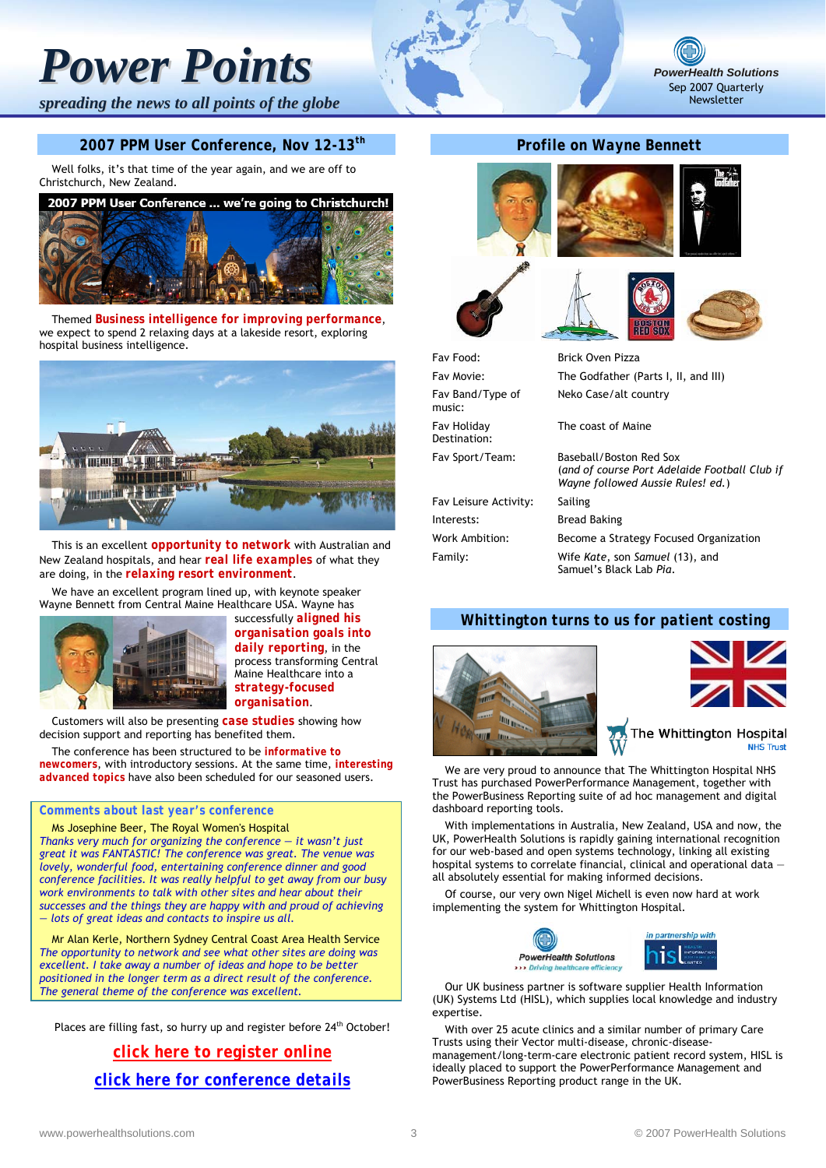*spreading the news to all points of the globe*

#### *2007 PPM User Conference, Nov 12-13th*

Well folks, it's that time of the year again, and we are off to Christchurch, New Zealand.



Themed *Business intelligence for improving performance*, we expect to spend 2 relaxing days at a lakeside resort, exploring hospital business intelligence.



This is an excellent *opportunity to network* with Australian and New Zealand hospitals, and hear *real life examples* of what they are doing, in the *relaxing resort environment*.

We have an excellent program lined up, with keynote speaker Wayne Bennett from Central Maine Healthcare USA. Wayne has



successfully *aligned his organisation goals into daily reporting*, in the process transforming Central Maine Healthcare into a *strategy-focused organisation*.

Customers will also be presenting *case studies* showing how decision support and reporting has benefited them.

The conference has been structured to be *informative to newcomers*, with introductory sessions. At the same time, *interesting advanced topics* have also been scheduled for our seasoned users.

#### *Comments about last year's conference*

Ms Josephine Beer, The Royal Women's Hospital *Thanks very much for organizing the conference ― it wasn't just great it was FANTASTIC! The conference was great. The venue was lovely, wonderful food, entertaining conference dinner and good conference facilities. It was really helpful to get away from our busy work environments to talk with other sites and hear about their successes and the things they are happy with and proud of achieving — lots of great ideas and contacts to inspire us all.*

Mr Alan Kerle, Northern Sydney Central Coast Area Health Service *The opportunity to network and see what other sites are doing was excellent. I take away a number of ideas and hope to be better positioned in the longer term as a direct result of the conference. The general theme of the conference was excellent.*

Places are filling fast, so hurry up and register before 24<sup>th</sup> October!

*[click here to register online](http://www.powerhealthsolutions.com/messages/2007PHSConference/registration/) [click here for conference details](http://www.powerhealthsolutions.com/messages/2007PHSConference/)*

## *Profile on Wayne Bennett*













*PowerHealth Solutions* Sep 2007 Quarterly Newsletter

Fav Food: Brick Oven Pizza Fav Movie: The Godfather (Parts I, II, and III) Fav Band/Type of music: Fav Holiday Destination: Fav Sport/Team: Baseball/Boston Red Sox Fav Leisure Activity: Sailing Interests: Bread Baking Work Ambition: Become a Strategy Focused Organization Family: Wife *Kate*, son *Samuel* (13), and

Neko Case/alt country

The coast of Maine

(*and of course Port Adelaide Football Club if Wayne followed Aussie Rules! ed.*)

Samuel's Black Lab *Pia*.

# *Whittington turns to us for patient costing*





The Whittington Hospital

We are very proud to announce that The Whittington Hospital NHS Trust has purchased PowerPerformance Management, together with the PowerBusiness Reporting suite of ad hoc management and digital dashboard reporting tools.

With implementations in Australia, New Zealand, USA and now, the UK, PowerHealth Solutions is rapidly gaining international recognition for our web-based and open systems technology, linking all existing hospital systems to correlate financial, clinical and operational data all absolutely essential for making informed decisions.

Of course, our very own Nigel Michell is even now hard at work implementing the system for Whittington Hospital.



Our UK business partner is software supplier Health Information (UK) Systems Ltd (HISL), which supplies local knowledge and industry expertise.

With over 25 acute clinics and a similar number of primary Care Trusts using their Vector multi-disease, chronic-diseasemanagement/long-term-care electronic patient record system, HISL is ideally placed to support the PowerPerformance Management and PowerBusiness Reporting product range in the UK.

I